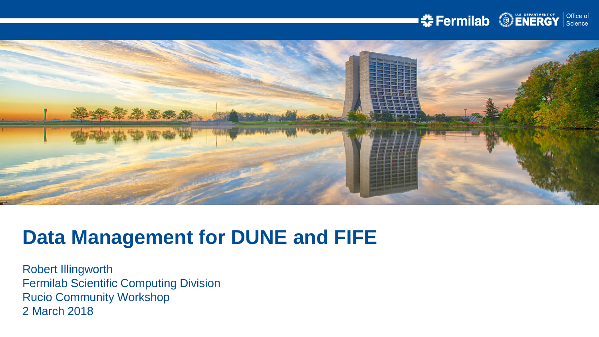#### **SENERGY** Science



# **Data Management for DUNE and FIFE**

Robert Illingworth Fermilab Scientific Computing Division Rucio Community Workshop 2 March 2018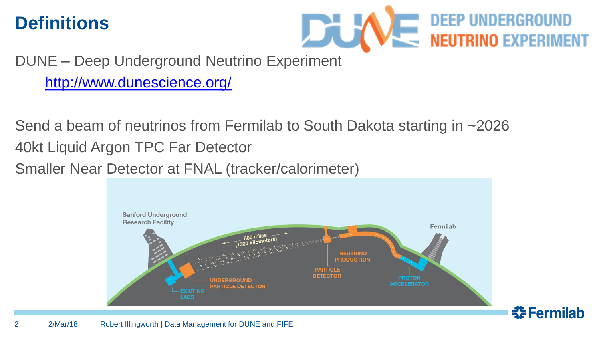#### **Definitions**



조 Fermilab

DUNE – Deep Underground Neutrino Experiment

<http://www.dunescience.org/>

Send a beam of neutrinos from Fermilab to South Dakota starting in ~2026 40kt Liquid Argon TPC Far Detector

Smaller Near Detector at FNAL (tracker/calorimeter)

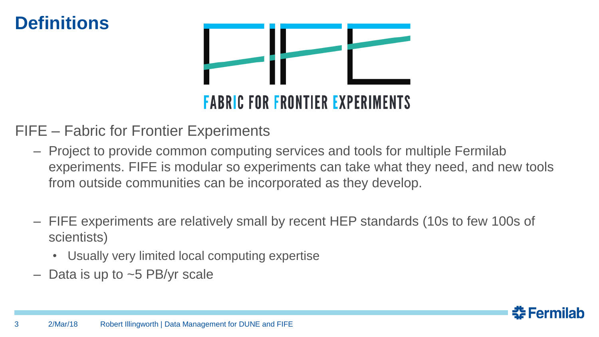#### **Definitions**



# **FABRIC FOR FRONTIER EXPERIMENTS**

#### FIFE – Fabric for Frontier Experiments

- Project to provide common computing services and tools for multiple Fermilab experiments. FIFE is modular so experiments can take what they need, and new tools from outside communities can be incorporated as they develop.
- FIFE experiments are relatively small by recent HEP standards (10s to few 100s of scientists)
	- Usually very limited local computing expertise
- Data is up to  $\sim$  5 PB/yr scale

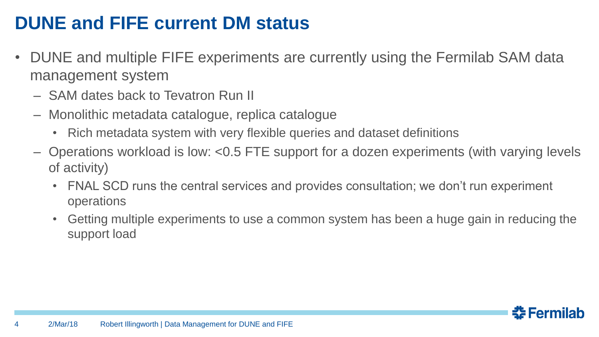# **DUNE and FIFE current DM status**

- DUNE and multiple FIFE experiments are currently using the Fermilab SAM data management system
	- SAM dates back to Tevatron Run II
	- Monolithic metadata catalogue, replica catalogue
		- Rich metadata system with very flexible queries and dataset definitions
	- Operations workload is low: <0.5 FTE support for a dozen experiments (with varying levels of activity)
		- FNAL SCD runs the central services and provides consultation; we don't run experiment operations
		- Getting multiple experiments to use a common system has been a huge gain in reducing the support load

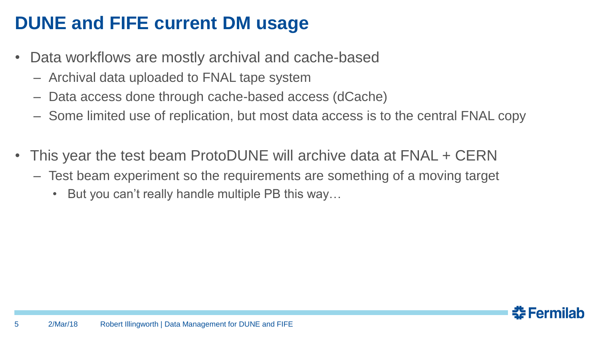# **DUNE and FIFE current DM usage**

- Data workflows are mostly archival and cache-based
	- Archival data uploaded to FNAL tape system
	- Data access done through cache-based access (dCache)
	- Some limited use of replication, but most data access is to the central FNAL copy
- This year the test beam ProtoDUNE will archive data at FNAL + CERN
	- Test beam experiment so the requirements are something of a moving target
		- But you can't really handle multiple PB this way…

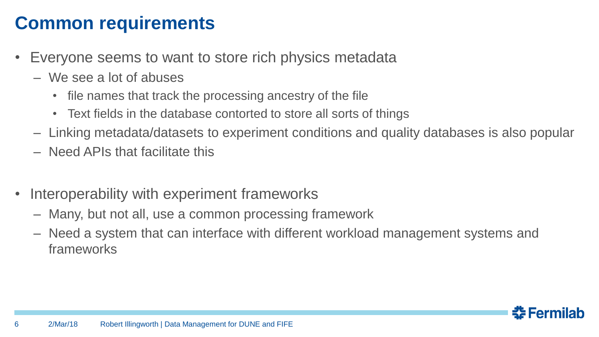## **Common requirements**

- Everyone seems to want to store rich physics metadata
	- We see a lot of abuses
		- file names that track the processing ancestry of the file
		- Text fields in the database contorted to store all sorts of things
	- Linking metadata/datasets to experiment conditions and quality databases is also popular
	- Need APIs that facilitate this
- Interoperability with experiment frameworks
	- Many, but not all, use a common processing framework
	- Need a system that can interface with different workload management systems and frameworks

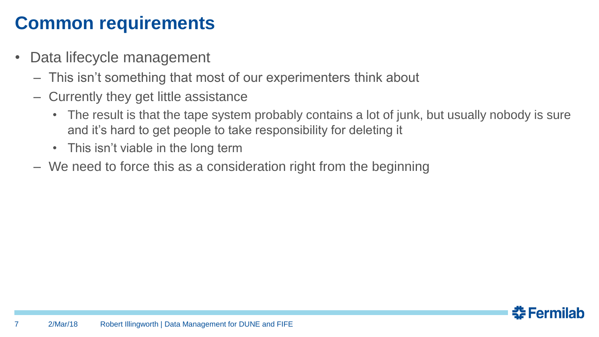## **Common requirements**

- Data lifecycle management
	- This isn't something that most of our experimenters think about
	- Currently they get little assistance
		- The result is that the tape system probably contains a lot of junk, but usually nobody is sure and it's hard to get people to take responsibility for deleting it
		- This isn't viable in the long term
	- We need to force this as a consideration right from the beginning

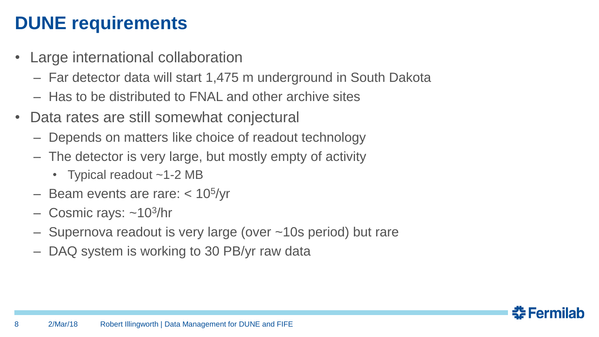# **DUNE requirements**

- Large international collaboration
	- Far detector data will start 1,475 m underground in South Dakota
	- Has to be distributed to FNAL and other archive sites
- Data rates are still somewhat conjectural
	- Depends on matters like choice of readout technology
	- The detector is very large, but mostly empty of activity
		- Typical readout ~1-2 MB
	- Beam events are rare: < 10<sup>5</sup> /yr
	- Cosmic rays: ~10<sup>3</sup>/hr
	- Supernova readout is very large (over ~10s period) but rare
	- DAQ system is working to 30 PB/yr raw data

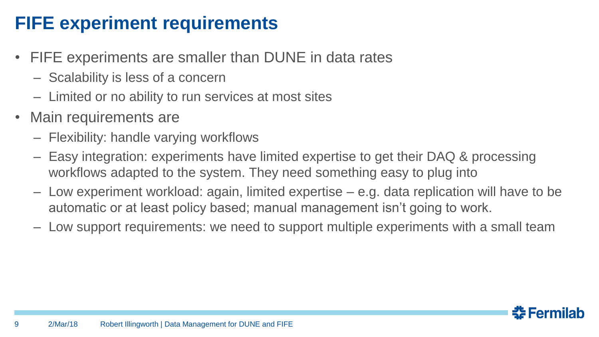# **FIFE experiment requirements**

- FIFE experiments are smaller than DUNE in data rates
	- Scalability is less of a concern
	- Limited or no ability to run services at most sites
- Main requirements are
	- Flexibility: handle varying workflows
	- Easy integration: experiments have limited expertise to get their DAQ & processing workflows adapted to the system. They need something easy to plug into
	- Low experiment workload: again, limited expertise e.g. data replication will have to be automatic or at least policy based; manual management isn't going to work.
	- Low support requirements: we need to support multiple experiments with a small team

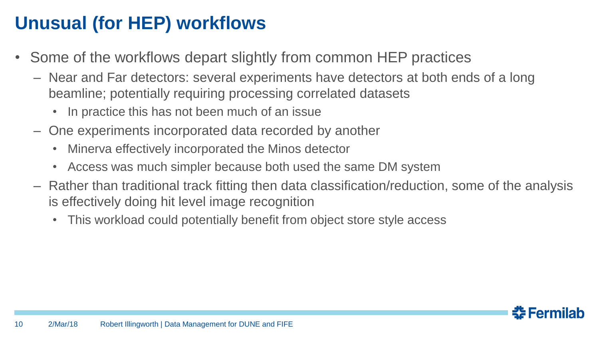# **Unusual (for HEP) workflows**

- Some of the workflows depart slightly from common HEP practices
	- Near and Far detectors: several experiments have detectors at both ends of a long beamline; potentially requiring processing correlated datasets
		- In practice this has not been much of an issue
	- One experiments incorporated data recorded by another
		- Minerva effectively incorporated the Minos detector
		- Access was much simpler because both used the same DM system
	- Rather than traditional track fitting then data classification/reduction, some of the analysis is effectively doing hit level image recognition
		- This workload could potentially benefit from object store style access

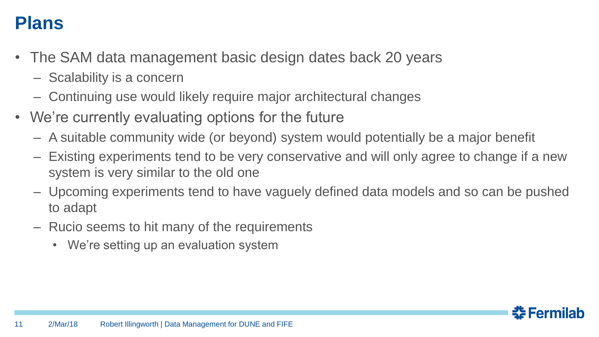#### **Plans**

- The SAM data management basic design dates back 20 years
	- Scalability is a concern
	- Continuing use would likely require major architectural changes
- We're currently evaluating options for the future
	- A suitable community wide (or beyond) system would potentially be a major benefit
	- Existing experiments tend to be very conservative and will only agree to change if a new system is very similar to the old one
	- Upcoming experiments tend to have vaguely defined data models and so can be pushed to adapt
	- Rucio seems to hit many of the requirements
		- We're setting up an evaluation system